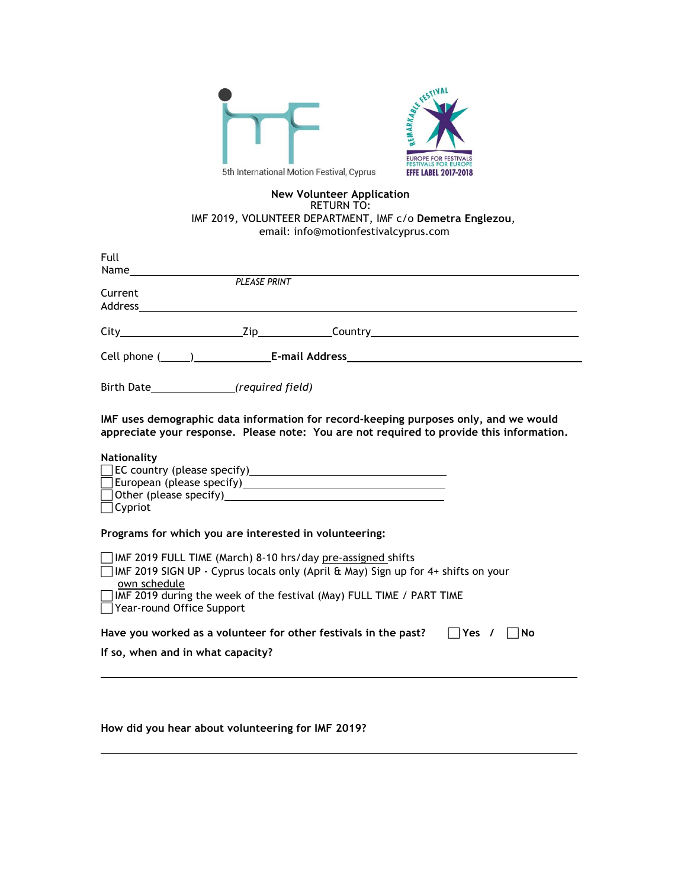

## **New Volunteer Application** RETURN TO: IMF 2019, VOLUNTEER DEPARTMENT, IMF c/o **Demetra Englezou**, email: info@motionfestivalcyprus.com

| Full                                                                                                                                                                                                                                                                                |
|-------------------------------------------------------------------------------------------------------------------------------------------------------------------------------------------------------------------------------------------------------------------------------------|
| <b>PLEASE PRINT</b>                                                                                                                                                                                                                                                                 |
| Current                                                                                                                                                                                                                                                                             |
| City Maria Maria Maria Maria Maria Maria Maria Maria Maria Maria Maria Maria Maria Maria Maria Maria Maria Mar                                                                                                                                                                      |
|                                                                                                                                                                                                                                                                                     |
| Birth Date_________________(required field)                                                                                                                                                                                                                                         |
| IMF uses demographic data information for record-keeping purposes only, and we would<br>appreciate your response. Please note: You are not required to provide this information.                                                                                                    |
| Nationality<br>$\Box$ Other (please specify)<br>$\Box$ Cypriot                                                                                                                                                                                                                      |
| Programs for which you are interested in volunteering:                                                                                                                                                                                                                              |
| IMF 2019 FULL TIME (March) 8-10 hrs/day pre-assigned shifts<br>IMF 2019 SIGN UP - Cyprus locals only (April & May) Sign up for 4+ shifts on your<br>own schedule<br>$\Box$ IMF 2019 during the week of the festival (May) FULL TIME / PART TIME<br>$\Box$ Year-round Office Support |
| Have you worked as a volunteer for other festivals in the past? $\Box$ Yes / $\Box$ No                                                                                                                                                                                              |
| If so, when and in what capacity?                                                                                                                                                                                                                                                   |
|                                                                                                                                                                                                                                                                                     |

**How did you hear about volunteering for IMF 2019?**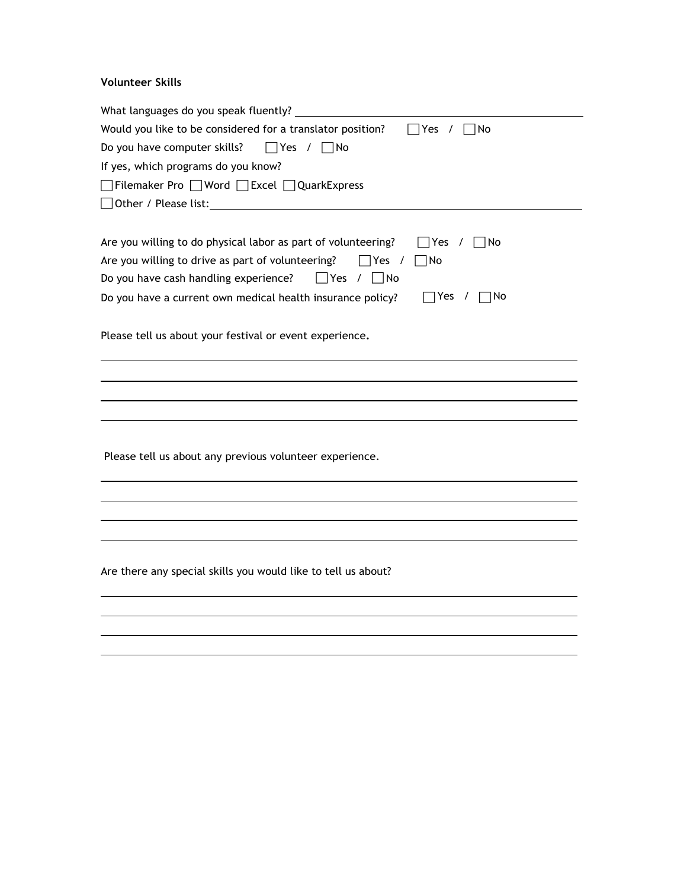## **Volunteer Skills**

| What languages do you speak fluently?                                                               |
|-----------------------------------------------------------------------------------------------------|
| Would you like to be considered for a translator position?<br> Yes /<br> No                         |
| Do you have computer skills?<br>$\Box$ Yes / $\Box$ No                                              |
| If yes, which programs do you know?                                                                 |
| □Filemaker Pro □Word □Excel □QuarkExpress                                                           |
| □ Other / Please list:                                                                              |
|                                                                                                     |
| Are you willing to do physical labor as part of volunteering?<br>$\Box$ Yes / $\Box$ No             |
| Are you willing to drive as part of volunteering?<br>   Yes /<br>   No                              |
| Do you have cash handling experience?<br>$\Box$ Yes / $\Box$ No                                     |
| $\Box$ Yes<br>$\Box$ No<br>Do you have a current own medical health insurance policy?<br>$\sqrt{ }$ |
|                                                                                                     |
| Please tell us about your festival or event experience.                                             |
|                                                                                                     |
|                                                                                                     |
|                                                                                                     |
|                                                                                                     |
|                                                                                                     |
| Please tell us about any previous volunteer experience.                                             |
|                                                                                                     |
|                                                                                                     |
|                                                                                                     |
|                                                                                                     |
|                                                                                                     |
|                                                                                                     |
| Are there any special skills you would like to tell us about?                                       |
|                                                                                                     |
|                                                                                                     |
|                                                                                                     |
|                                                                                                     |
|                                                                                                     |
|                                                                                                     |